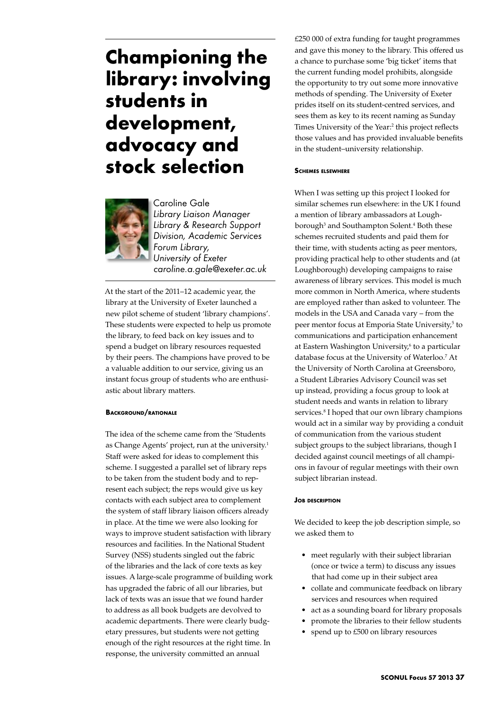# **Championing the library: involving students in development, advocacy and stock selection**



Caroline Gale *Library Liaison Manager Library & Research Support Division, Academic Services Forum Library, University of Exeter caroline.a.gale@exeter.ac.uk*

At the start of the 2011–12 academic year, the library at the University of Exeter launched a new pilot scheme of student 'library champions'. These students were expected to help us promote the library, to feed back on key issues and to spend a budget on library resources requested by their peers. The champions have proved to be a valuable addition to our service, giving us an instant focus group of students who are enthusiastic about library matters.

### **Background/rationale**

The idea of the scheme came from the 'Students as Change Agents' project, run at the university.<sup>1</sup> Staff were asked for ideas to complement this scheme. I suggested a parallel set of library reps to be taken from the student body and to represent each subject; the reps would give us key contacts with each subject area to complement the system of staff library liaison officers already in place. At the time we were also looking for ways to improve student satisfaction with library resources and facilities. In the National Student Survey (NSS) students singled out the fabric of the libraries and the lack of core texts as key issues. A large-scale programme of building work has upgraded the fabric of all our libraries, but lack of texts was an issue that we found harder to address as all book budgets are devolved to academic departments. There were clearly budgetary pressures, but students were not getting enough of the right resources at the right time. In response, the university committed an annual

£250 000 of extra funding for taught programmes and gave this money to the library. This offered us a chance to purchase some 'big ticket' items that the current funding model prohibits, alongside the opportunity to try out some more innovative methods of spending. The University of Exeter prides itself on its student-centred services, and sees them as key to its recent naming as Sunday Times University of the Year:<sup>2</sup> this project reflects those values and has provided invaluable benefits in the student–university relationship.

### **Schemes elsewhere**

When I was setting up this project I looked for similar schemes run elsewhere: in the UK I found a mention of library ambassadors at Loughborough<sup>3</sup> and Southampton Solent.<sup>4</sup> Both these schemes recruited students and paid them for their time, with students acting as peer mentors, providing practical help to other students and (at Loughborough) developing campaigns to raise awareness of library services. This model is much more common in North America, where students are employed rather than asked to volunteer. The models in the USA and Canada vary – from the peer mentor focus at Emporia State University,<sup>5</sup> to communications and participation enhancement at Eastern Washington University,<sup>6</sup> to a particular database focus at the University of Waterloo.7 At the University of North Carolina at Greensboro, a Student Libraries Advisory Council was set up instead, providing a focus group to look at student needs and wants in relation to library services.<sup>8</sup> I hoped that our own library champions would act in a similar way by providing a conduit of communication from the various student subject groups to the subject librarians, though I decided against council meetings of all champions in favour of regular meetings with their own subject librarian instead.

### **Job description**

We decided to keep the job description simple, so we asked them to

- meet regularly with their subject librarian (once or twice a term) to discuss any issues that had come up in their subject area
- • collate and communicate feedback on library services and resources when required
- • act as a sounding board for library proposals
- promote the libraries to their fellow students
- spend up to £500 on library resources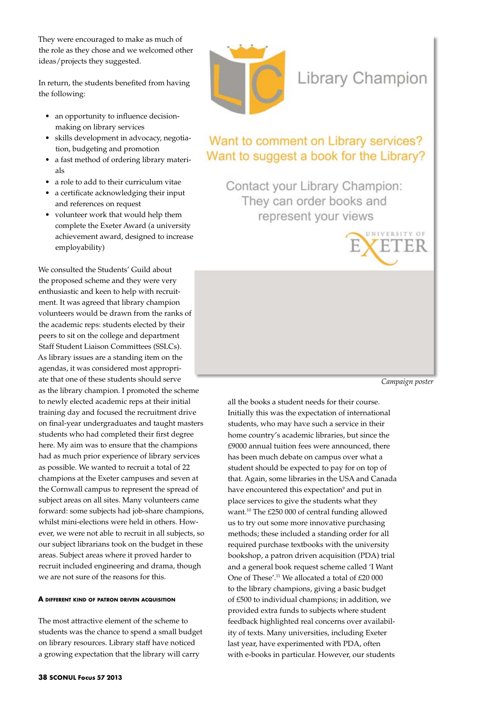They were encouraged to make as much of the role as they chose and we welcomed other ideas/projects they suggested.

In return, the students benefited from having the following:

- an opportunity to influence decisionmaking on library services
- skills development in advocacy, negotiation, budgeting and promotion
- • a fast method of ordering library materials
- a role to add to their curriculum vitae
- • a certificate acknowledging their input and references on request
- volunteer work that would help them complete the Exeter Award (a university achievement award, designed to increase employability)

We consulted the Students' Guild about the proposed scheme and they were very enthusiastic and keen to help with recruitment. It was agreed that library champion volunteers would be drawn from the ranks of the academic reps: students elected by their peers to sit on the college and department Staff Student Liaison Committees (SSLCs). As library issues are a standing item on the agendas, it was considered most appropriate that one of these students should serve as the library champion. I promoted the scheme to newly elected academic reps at their initial training day and focused the recruitment drive on final-year undergraduates and taught masters students who had completed their first degree here. My aim was to ensure that the champions had as much prior experience of library services as possible. We wanted to recruit a total of 22 champions at the Exeter campuses and seven at the Cornwall campus to represent the spread of subject areas on all sites. Many volunteers came forward: some subjects had job-share champions, whilst mini-elections were held in others. However, we were not able to recruit in all subjects, so our subject librarians took on the budget in these areas. Subject areas where it proved harder to recruit included engineering and drama, though we are not sure of the reasons for this.

### **A different kind of patron driven acquisition**

The most attractive element of the scheme to students was the chance to spend a small budget on library resources. Library staff have noticed a growing expectation that the library will carry



## Library Champion

### Want to comment on Library services? Want to suggest a book for the Library?

Contact your Library Champion: They can order books and represent your views



*Campaign poster*

all the books a student needs for their course. Initially this was the expectation of international students, who may have such a service in their home country's academic libraries, but since the £9000 annual tuition fees were announced, there has been much debate on campus over what a student should be expected to pay for on top of that. Again, some libraries in the USA and Canada have encountered this expectation<sup>9</sup> and put in place services to give the students what they want.<sup>10</sup> The £250 000 of central funding allowed us to try out some more innovative purchasing methods; these included a standing order for all required purchase textbooks with the university bookshop, a patron driven acquisition (PDA) trial and a general book request scheme called 'I Want One of These'.<sup>11</sup> We allocated a total of £20 000 to the library champions, giving a basic budget of £500 to individual champions; in addition, we provided extra funds to subjects where student feedback highlighted real concerns over availability of texts. Many universities, including Exeter last year, have experimented with PDA, often with e-books in particular. However, our students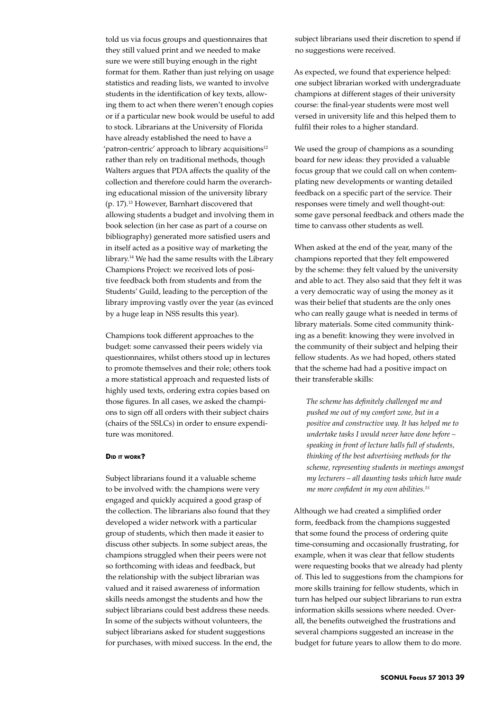told us via focus groups and questionnaires that they still valued print and we needed to make sure we were still buying enough in the right format for them. Rather than just relying on usage statistics and reading lists, we wanted to involve students in the identification of key texts, allowing them to act when there weren't enough copies or if a particular new book would be useful to add to stock. Librarians at the University of Florida have already established the need to have a 'patron-centric' approach to library acquisitions<sup>12</sup> rather than rely on traditional methods, though Walters argues that PDA affects the quality of the collection and therefore could harm the overarching educational mission of the university library (p. 17).13 However, Barnhart discovered that allowing students a budget and involving them in book selection (in her case as part of a course on bibliography) generated more satisfied users and in itself acted as a positive way of marketing the library.14 We had the same results with the Library Champions Project: we received lots of positive feedback both from students and from the Students' Guild, leading to the perception of the library improving vastly over the year (as evinced by a huge leap in NSS results this year).

Champions took different approaches to the budget: some canvassed their peers widely via questionnaires, whilst others stood up in lectures to promote themselves and their role; others took a more statistical approach and requested lists of highly used texts, ordering extra copies based on those figures. In all cases, we asked the champions to sign off all orders with their subject chairs (chairs of the SSLCs) in order to ensure expenditure was monitored.

### **Did it work?**

Subject librarians found it a valuable scheme to be involved with: the champions were very engaged and quickly acquired a good grasp of the collection. The librarians also found that they developed a wider network with a particular group of students, which then made it easier to discuss other subjects. In some subject areas, the champions struggled when their peers were not so forthcoming with ideas and feedback, but the relationship with the subject librarian was valued and it raised awareness of information skills needs amongst the students and how the subject librarians could best address these needs. In some of the subjects without volunteers, the subject librarians asked for student suggestions for purchases, with mixed success. In the end, the subject librarians used their discretion to spend if no suggestions were received.

As expected, we found that experience helped: one subject librarian worked with undergraduate champions at different stages of their university course: the final-year students were most well versed in university life and this helped them to fulfil their roles to a higher standard.

We used the group of champions as a sounding board for new ideas: they provided a valuable focus group that we could call on when contemplating new developments or wanting detailed feedback on a specific part of the service. Their responses were timely and well thought-out: some gave personal feedback and others made the time to canvass other students as well.

When asked at the end of the year, many of the champions reported that they felt empowered by the scheme: they felt valued by the university and able to act. They also said that they felt it was a very democratic way of using the money as it was their belief that students are the only ones who can really gauge what is needed in terms of library materials. Some cited community thinking as a benefit: knowing they were involved in the community of their subject and helping their fellow students. As we had hoped, others stated that the scheme had had a positive impact on their transferable skills:

*The scheme has definitely challenged me and pushed me out of my comfort zone, but in a positive and constructive way. It has helped me to undertake tasks I would never have done before – speaking in front of lecture halls full of students, thinking of the best advertising methods for the scheme, representing students in meetings amongst my lecturers – all daunting tasks which have made me more confident in my own abilities.15*

Although we had created a simplified order form, feedback from the champions suggested that some found the process of ordering quite time-consuming and occasionally frustrating, for example, when it was clear that fellow students were requesting books that we already had plenty of. This led to suggestions from the champions for more skills training for fellow students, which in turn has helped our subject librarians to run extra information skills sessions where needed. Overall, the benefits outweighed the frustrations and several champions suggested an increase in the budget for future years to allow them to do more.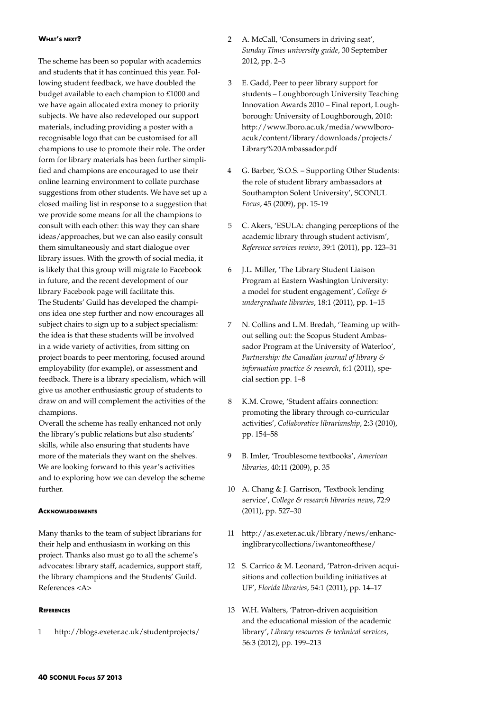### **What's next?**

The scheme has been so popular with academics and students that it has continued this year. Following student feedback, we have doubled the budget available to each champion to £1000 and we have again allocated extra money to priority subjects. We have also redeveloped our support materials, including providing a poster with a recognisable logo that can be customised for all champions to use to promote their role. The order form for library materials has been further simplified and champions are encouraged to use their online learning environment to collate purchase suggestions from other students. We have set up a closed mailing list in response to a suggestion that we provide some means for all the champions to consult with each other: this way they can share ideas/approaches, but we can also easily consult them simultaneously and start dialogue over library issues. With the growth of social media, it is likely that this group will migrate to Facebook in future, and the recent development of our library Facebook page will facilitate this. The Students' Guild has developed the champions idea one step further and now encourages all subject chairs to sign up to a subject specialism: the idea is that these students will be involved in a wide variety of activities, from sitting on project boards to peer mentoring, focused around employability (for example), or assessment and feedback. There is a library specialism, which will give us another enthusiastic group of students to draw on and will complement the activities of the champions.

Overall the scheme has really enhanced not only the library's public relations but also students' skills, while also ensuring that students have more of the materials they want on the shelves. We are looking forward to this year's activities and to exploring how we can develop the scheme further.

#### **Acknowledgements**

Many thanks to the team of subject librarians for their help and enthusiasm in working on this project. Thanks also must go to all the scheme's advocates: library staff, academics, support staff, the library champions and the Students' Guild. References <A>

### **References**

1 http://blogs.exeter.ac.uk/studentprojects/

- 2 A. McCall, 'Consumers in driving seat', *Sunday Times university guide*, 30 September 2012, pp. 2–3
- 3 E. Gadd, Peer to peer library support for students – Loughborough University Teaching Innovation Awards 2010 – Final report, Loughborough: University of Loughborough, 2010: http://www.lboro.ac.uk/media/wwwlboroacuk/content/library/downloads/projects/ Library%20Ambassador.pdf
- 4 G. Barber, 'S.O.S. Supporting Other Students: the role of student library ambassadors at Southampton Solent University', SCONUL *Focus*, 45 (2009), pp. 15-19
- 5 C. Akers, 'ESULA: changing perceptions of the academic library through student activism', *Reference services review*, 39:1 (2011), pp. 123–31
- 6 J.L. Miller, 'The Library Student Liaison Program at Eastern Washington University: a model for student engagement', *College & undergraduate libraries*, 18:1 (2011), pp. 1–15
- 7 N. Collins and L.M. Bredah, 'Teaming up without selling out: the Scopus Student Ambassador Program at the University of Waterloo', *Partnership: the Canadian journal of library & information practice & research*, 6:1 (2011), special section pp. 1–8
- 8 K.M. Crowe, 'Student affairs connection: promoting the library through co-curricular activities', *Collaborative librarianship*, 2:3 (2010), pp. 154–58
- 9 B. Imler, 'Troublesome textbooks', *American libraries*, 40:11 (2009), p. 35
- 10 A. Chang & J. Garrison, 'Textbook lending service', *College & research libraries news*, 72:9 (2011), pp. 527–30
- 11 http://as.exeter.ac.uk/library/news/enhancinglibrarycollections/iwantoneofthese/
- 12 S. Carrico & M. Leonard, 'Patron-driven acquisitions and collection building initiatives at UF', *Florida libraries*, 54:1 (2011), pp. 14–17
- 13 W.H. Walters, 'Patron-driven acquisition and the educational mission of the academic library', *Library resources & technical services*, 56:3 (2012), pp. 199–213